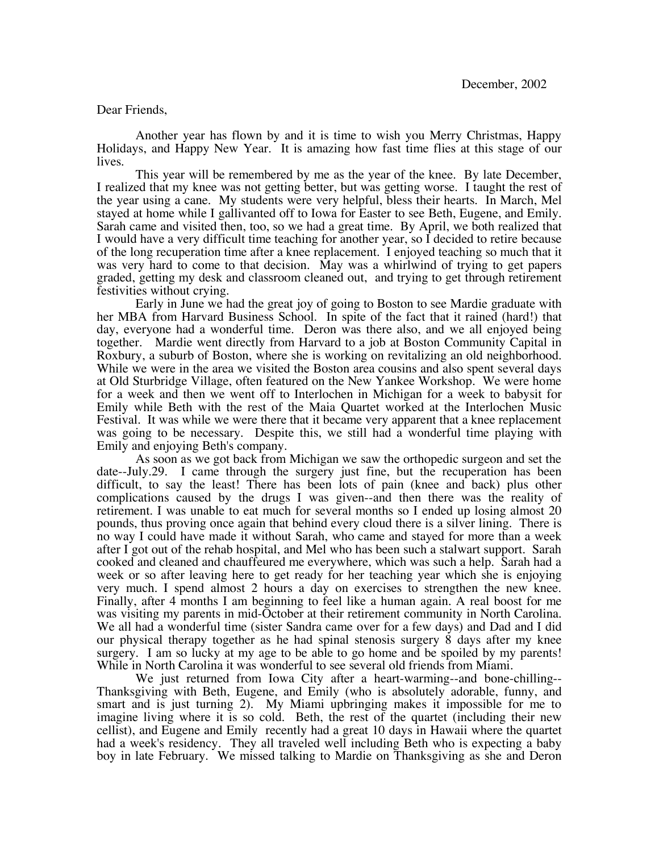## Dear Friends,

Another year has flown by and it is time to wish you Merry Christmas, Happy Holidays, and Happy New Year. It is amazing how fast time flies at this stage of our lives.

This year will be remembered by me as the year of the knee. By late December, I realized that my knee was not getting better, but was getting worse. I taught the rest of the year using a cane. My students were very helpful, bless their hearts. In March, Mel stayed at home while I gallivanted off to Iowa for Easter to see Beth, Eugene, and Emily. Sarah came and visited then, too, so we had a great time. By April, we both realized that I would have a very difficult time teaching for another year, so I decided to retire because of the long recuperation time after a knee replacement. I enjoyed teaching so much that it was very hard to come to that decision. May was a whirlwind of trying to get papers graded, getting my desk and classroom cleaned out, and trying to get through retirement festivities without crying.

Early in June we had the great joy of going to Boston to see Mardie graduate with her MBA from Harvard Business School. In spite of the fact that it rained (hard!) that day, everyone had a wonderful time. Deron was there also, and we all enjoyed being together. Mardie went directly from Harvard to a job at Boston Community Capital in Roxbury, a suburb of Boston, where she is working on revitalizing an old neighborhood. While we were in the area we visited the Boston area cousins and also spent several days at Old Sturbridge Village, often featured on the New Yankee Workshop. We were home for a week and then we went off to Interlochen in Michigan for a week to babysit for Emily while Beth with the rest of the Maia Quartet worked at the Interlochen Music Festival. It was while we were there that it became very apparent that a knee replacement was going to be necessary. Despite this, we still had a wonderful time playing with Emily and enjoying Beth's company.

As soon as we got back from Michigan we saw the orthopedic surgeon and set the date--July.29. I came through the surgery just fine, but the recuperation has been difficult, to say the least! There has been lots of pain (knee and back) plus other complications caused by the drugs I was given--and then there was the reality of retirement. I was unable to eat much for several months so I ended up losing almost 20 pounds, thus proving once again that behind every cloud there is a silver lining. There is no way I could have made it without Sarah, who came and stayed for more than a week after I got out of the rehab hospital, and Mel who has been such a stalwart support. Sarah cooked and cleaned and chauffeured me everywhere, which was such a help. Sarah had a week or so after leaving here to get ready for her teaching year which she is enjoying very much. I spend almost 2 hours a day on exercises to strengthen the new knee. Finally, after 4 months I am beginning to feel like a human again. A real boost for me was visiting my parents in mid-October at their retirement community in North Carolina. We all had a wonderful time (sister Sandra came over for a few days) and Dad and I did our physical therapy together as he had spinal stenosis surgery 8 days after my knee surgery. I am so lucky at my age to be able to go home and be spoiled by my parents! While in North Carolina it was wonderful to see several old friends from Miami.

We just returned from Iowa City after a heart-warming--and bone-chilling-- Thanksgiving with Beth, Eugene, and Emily (who is absolutely adorable, funny, and smart and is just turning 2). My Miami upbringing makes it impossible for me to imagine living where it is so cold. Beth, the rest of the quartet (including their new cellist), and Eugene and Emily recently had a great 10 days in Hawaii where the quartet had a week's residency. They all traveled well including Beth who is expecting a baby boy in late February. We missed talking to Mardie on Thanksgiving as she and Deron